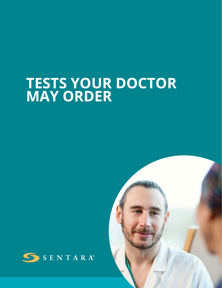# **TESTS YOUR DOCTOR MAY ORDER**



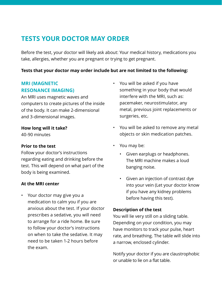# **TESTS YOUR DOCTOR MAY ORDER**

Before the test, your doctor will likely ask about: Your medical history, medications you take, allergies, whether you are pregnant or trying to get pregnant.

#### **Tests that your doctor may order include but are not limited to the following:**

## **MRI (MAGNETIC RESONANCE IMAGING)**

An MRI uses magnetic waves and computers to create pictures of the inside of the body. It can make 2-dimensional and 3-dimensional images.

#### **How long will it take?**

40-90 minutes

#### **Prior to the test**

Follow your doctor's instructions regarding eating and drinking before the test. This will depend on what part of the body is being examined.

#### **At the MRI center**

• Your doctor may give you a medication to calm you if you are anxious about the test. If your doctor prescribes a sedative, you will need to arrange for a ride home. Be sure to follow your doctor's instructions on when to take the sedative. It may need to be taken 1-2 hours before the exam.

- You will be asked if you have something in your body that would interfere with the MRI, such as: pacemaker, neurostimulator, any metal, previous joint replacements or surgeries, etc.
- You will be asked to remove any metal objects or skin medication patches.
- You may be:
	- Given earplugs or headphones. The MRI machine makes a loud banging noise.
	- Given an injection of contrast dye into your vein (Let your doctor know if you have any kidney problems before having this test).

#### **Description of the test**

You will lie very still on a sliding table. Depending on your condition, you may have monitors to track your pulse, heart rate, and breathing. The table will slide into a narrow, enclosed cylinder.

Notify your doctor if you are claustrophobic or unable to lie on a flat table.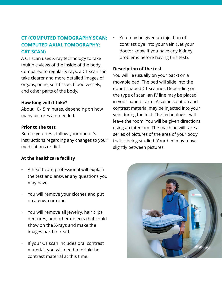# **CT (COMPUTED TOMOGRAPHY SCAN; COMPUTED AXIAL TOMOGRAPHY; CAT SCAN)**

A CT scan uses X-ray technology to take multiple views of the inside of the body. Compared to regular X-rays, a CT scan can take clearer and more detailed images of organs, bone, soft tissue, blood vessels, and other parts of the body.

#### **How long will it take?**

About 10-15 minutes, depending on how many pictures are needed.

#### **Prior to the test**

Before your test, follow your doctor's instructions regarding any changes to your medications or diet.

#### **At the healthcare facility**

- A healthcare professional will explain the test and answer any questions you may have.
- You will remove your clothes and put on a gown or robe.
- You will remove all jewelry, hair clips, dentures, and other objects that could show on the X-rays and make the images hard to read.
- If your CT scan includes oral contrast material, you will need to drink the contrast material at this time.

• You may be given an injection of contrast dye into your vein (Let your doctor know if you have any kidney problems before having this test).

#### **Description of the test**

You will lie (usually on your back) on a movable bed. The bed will slide into the donut-shaped CT scanner. Depending on the type of scan, an IV line may be placed in your hand or arm. A saline solution and contrast material may be injected into your vein during the test. The technologist will leave the room. You will be given directions using an intercom. The machine will take a series of pictures of the area of your body that is being studied. Your bed may move slightly between pictures.

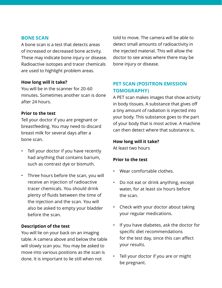#### **BONE SCAN**

A bone scan is a test that detects areas of increased or decreased bone activity. These may indicate bone injury or disease. Radioactive isotopes and tracer chemicals are used to highlight problem areas.

#### **How long will it take?**

You will be in the scanner for 20-60 minutes. Sometimes another scan is done after 24 hours.

#### **Prior to the test**

Tell your doctor if you are pregnant or breastfeeding. You may need to discard breast milk for several days after a bone scan.

- Tell your doctor if you have recently had anything that contains barium, such as contrast dye or bismuth.
- Three hours before the scan, you will receive an injection of radioactive tracer chemicals. You should drink plenty of fluids between the time of the injection and the scan. You will also be asked to empty your bladder before the scan.

#### **Description of the test**

You will lie on your back on an imaging table. A camera above and below the table will slowly scan you. You may be asked to move into various positions as the scan is done. It is important to lie still when not

told to move. The camera will be able to detect small amounts of radioactivity in the injected material. This will allow the doctor to see areas where there may be bone injury or disease.

## **PET SCAN (POSITRON EMISSION TOMOGRAPHY)**

A PET scan makes images that show activity in body tissues. A substance that gives off a tiny amount of radiation is injected into your body. This substance goes to the part of your body that is most active. A machine can then detect where that substance is.

#### **How long will it take?**

At least two hours

#### **Prior to the test**

- Wear comfortable clothes.
- Do not eat or drink anything, except water, for at least six hours before the scan.
- Check with your doctor about taking your regular medications.
- If you have diabetes, ask the doctor for specific diet recommendations for the test day, since this can affect your results.
- Tell your doctor if you are or might be pregnant.